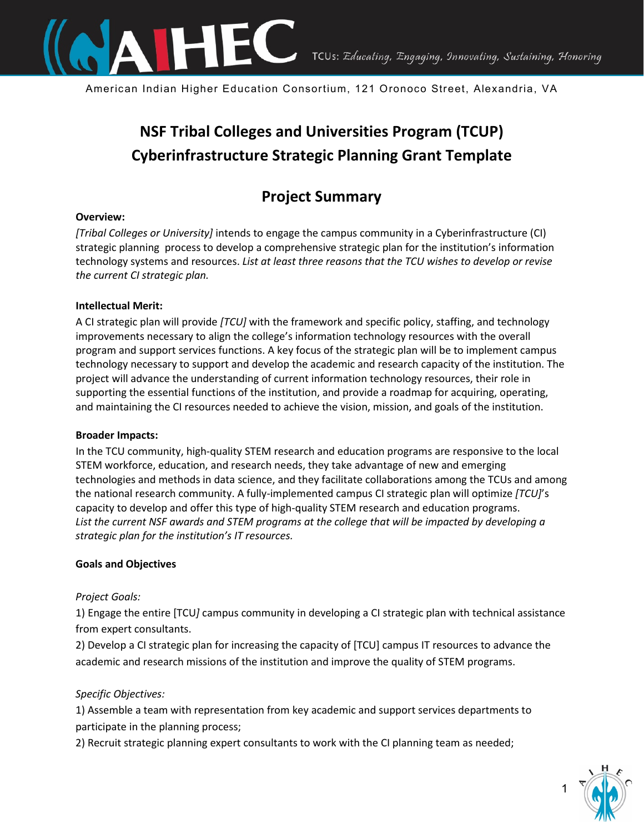

American Indian Higher Education Consortium, 121 Oronoco Street, Alexandria, VA

# **NSF Tribal Colleges and Universities Program (TCUP) Cyberinfrastructure Strategic Planning Grant Template**

## **Project Summary**

#### **Overview:**

*[Tribal Colleges or University]* intends to engage the campus community in a Cyberinfrastructure (CI) strategic planning process to develop a comprehensive strategic plan for the institution's information technology systems and resources. *List at least three reasons that the TCU wishes to develop or revise the current CI strategic plan.* 

#### **Intellectual Merit:**

A CI strategic plan will provide *[TCU]* with the framework and specific policy, staffing, and technology improvements necessary to align the college's information technology resources with the overall program and support services functions. A key focus of the strategic plan will be to implement campus technology necessary to support and develop the academic and research capacity of the institution. The project will advance the understanding of current information technology resources, their role in supporting the essential functions of the institution, and provide a roadmap for acquiring, operating, and maintaining the CI resources needed to achieve the vision, mission, and goals of the institution.

#### **Broader Impacts:**

In the TCU community, high-quality STEM research and education programs are responsive to the local STEM workforce, education, and research needs, they take advantage of new and emerging technologies and methods in data science, and they facilitate collaborations among the TCUs and among the national research community. A fully-implemented campus CI strategic plan will optimize *[TCU]*'s capacity to develop and offer this type of high-quality STEM research and education programs. *List the current NSF awards and STEM programs at the college that will be impacted by developing a strategic plan for the institution's IT resources.*

#### **Goals and Objectives**

#### *Project Goals:*

1) Engage the entire [TCU*]* campus community in developing a CI strategic plan with technical assistance from expert consultants.

2) Develop a CI strategic plan for increasing the capacity of [TCU] campus IT resources to advance the academic and research missions of the institution and improve the quality of STEM programs.

#### *Specific Objectives:*

1) Assemble a team with representation from key academic and support services departments to participate in the planning process;

2) Recruit strategic planning expert consultants to work with the CI planning team as needed;

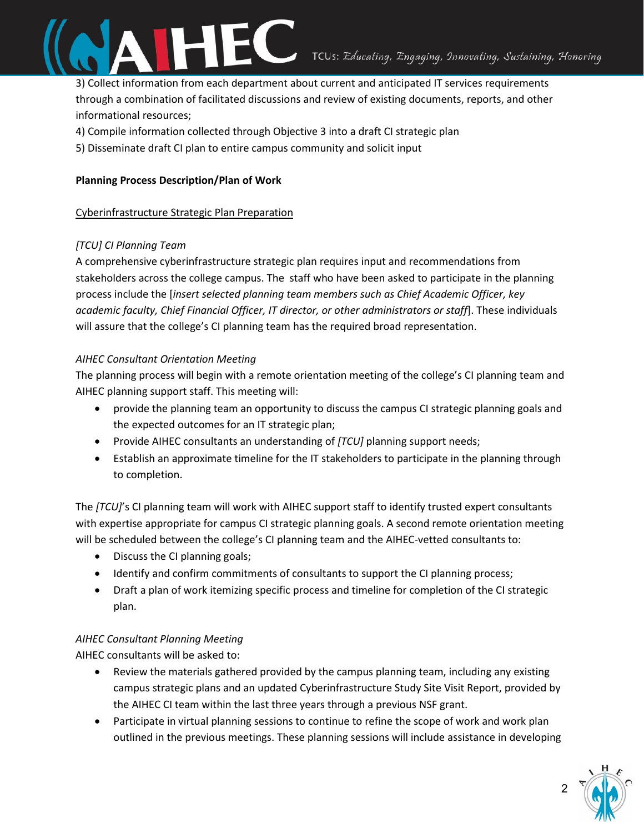

3) Collect information from each department about current and anticipated IT services requirements through a combination of facilitated discussions and review of existing documents, reports, and other informational resources;

- 4) Compile information collected through Objective 3 into a draft CI strategic plan
- 5) Disseminate draft CI plan to entire campus community and solicit input

#### **Planning Process Description/Plan of Work**

#### Cyberinfrastructure Strategic Plan Preparation

#### *[TCU] CI Planning Team*

A comprehensive cyberinfrastructure strategic plan requires input and recommendations from stakeholders across the college campus. The staff who have been asked to participate in the planning process include the [*insert selected planning team members such as Chief Academic Officer, key academic faculty, Chief Financial Officer, IT director, or other administrators or staff*]. These individuals will assure that the college's CI planning team has the required broad representation.

#### *AIHEC Consultant Orientation Meeting*

The planning process will begin with a remote orientation meeting of the college's CI planning team and AIHEC planning support staff. This meeting will:

- provide the planning team an opportunity to discuss the campus CI strategic planning goals and the expected outcomes for an IT strategic plan;
- Provide AIHEC consultants an understanding of *[TCU]* planning support needs;
- Establish an approximate timeline for the IT stakeholders to participate in the planning through to completion.

The *[TCU]*'s CI planning team will work with AIHEC support staff to identify trusted expert consultants with expertise appropriate for campus CI strategic planning goals. A second remote orientation meeting will be scheduled between the college's CI planning team and the AIHEC-vetted consultants to:

- Discuss the CI planning goals;
- Identify and confirm commitments of consultants to support the CI planning process;
- Draft a plan of work itemizing specific process and timeline for completion of the CI strategic plan.

#### *AIHEC Consultant Planning Meeting*

AIHEC consultants will be asked to:

- Review the materials gathered provided by the campus planning team, including any existing campus strategic plans and an updated Cyberinfrastructure Study Site Visit Report, provided by the AIHEC CI team within the last three years through a previous NSF grant.
- Participate in virtual planning sessions to continue to refine the scope of work and work plan outlined in the previous meetings. These planning sessions will include assistance in developing

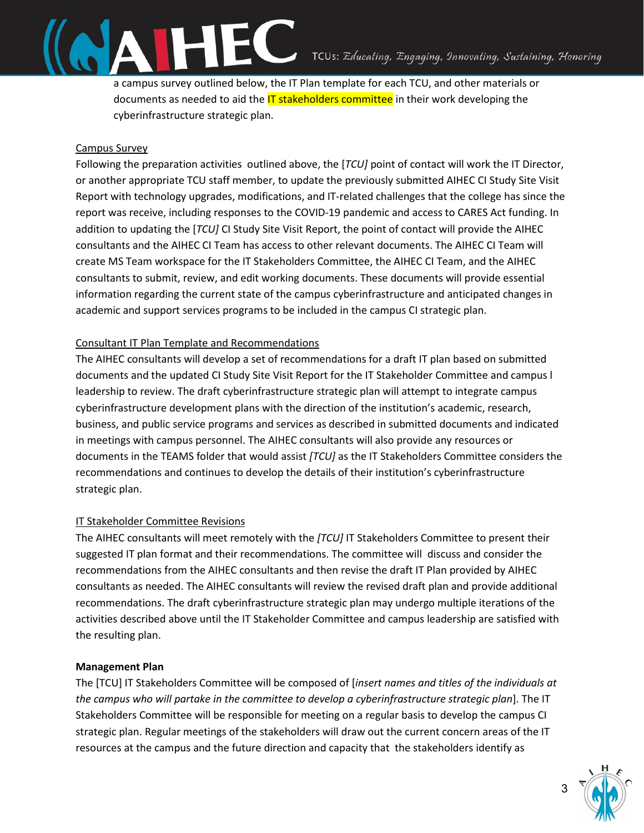a campus survey outlined below, the IT Plan template for each TCU, and other materials or documents as needed to aid the **IT stakeholders committee** in their work developing the cyberinfrastructure strategic plan.

### Campus Survey

Following the preparation activities outlined above, the [*TCU]* point of contact will work the IT Director, or another appropriate TCU staff member, to update the previously submitted AIHEC CI Study Site Visit Report with technology upgrades, modifications, and IT-related challenges that the college has since the report was receive, including responses to the COVID-19 pandemic and access to CARES Act funding. In addition to updating the [*TCU]* CI Study Site Visit Report, the point of contact will provide the AIHEC consultants and the AIHEC CI Team has access to other relevant documents. The AIHEC CI Team will create MS Team workspace for the IT Stakeholders Committee, the AIHEC CI Team, and the AIHEC consultants to submit, review, and edit working documents. These documents will provide essential information regarding the current state of the campus cyberinfrastructure and anticipated changes in academic and support services programs to be included in the campus CI strategic plan.

### Consultant IT Plan Template and Recommendations

The AIHEC consultants will develop a set of recommendations for a draft IT plan based on submitted documents and the updated CI Study Site Visit Report for the IT Stakeholder Committee and campus l leadership to review. The draft cyberinfrastructure strategic plan will attempt to integrate campus cyberinfrastructure development plans with the direction of the institution's academic, research, business, and public service programs and services as described in submitted documents and indicated in meetings with campus personnel. The AIHEC consultants will also provide any resources or documents in the TEAMS folder that would assist *[TCU]* as the IT Stakeholders Committee considers the recommendations and continues to develop the details of their institution's cyberinfrastructure strategic plan.

#### IT Stakeholder Committee Revisions

The AIHEC consultants will meet remotely with the *[TCU]* IT Stakeholders Committee to present their suggested IT plan format and their recommendations. The committee will discuss and consider the recommendations from the AIHEC consultants and then revise the draft IT Plan provided by AIHEC consultants as needed. The AIHEC consultants will review the revised draft plan and provide additional recommendations. The draft cyberinfrastructure strategic plan may undergo multiple iterations of the activities described above until the IT Stakeholder Committee and campus leadership are satisfied with the resulting plan.

#### **Management Plan**

The [TCU] IT Stakeholders Committee will be composed of [*insert names and titles of the individuals at the campus who will partake in the committee to develop a cyberinfrastructure strategic plan*]. The IT Stakeholders Committee will be responsible for meeting on a regular basis to develop the campus CI strategic plan. Regular meetings of the stakeholders will draw out the current concern areas of the IT resources at the campus and the future direction and capacity that the stakeholders identify as